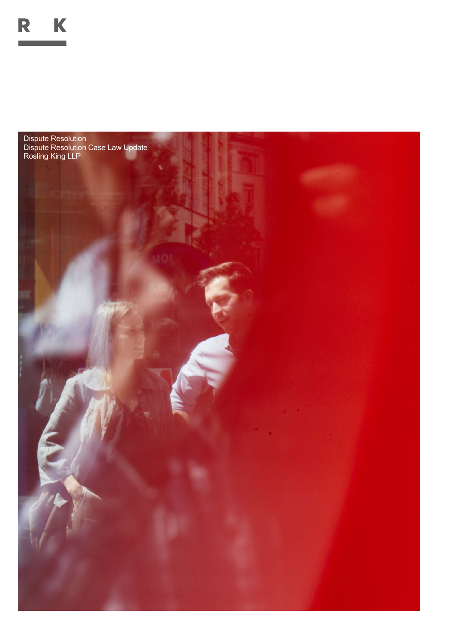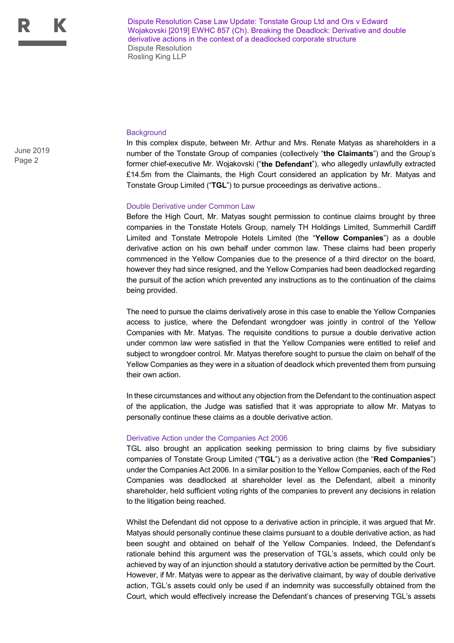Dispute Resolution Case Law Update: Tonstate Group Ltd and Ors v Edward Wojakovski [2019] EWHC 857 (Ch). Breaking the Deadlock: Derivative and double derivative actions in the context of a deadlocked corporate structure Dispute Resolution Rosling King LLP

**Background** 

In this complex dispute, between Mr. Arthur and Mrs. Renate Matyas as shareholders in a number of the Tonstate Group of companies (collectively "**the Claimants**") and the Group's former chief-executive Mr. Wojakovski ("**the Defendant**"), who allegedly unlawfully extracted £14.5m from the Claimants, the High Court considered an application by Mr. Matyas and Tonstate Group Limited ("**TGL**") to pursue proceedings as derivative actions..

## Double Derivative under Common Law

Before the High Court, Mr. Matyas sought permission to continue claims brought by three companies in the Tonstate Hotels Group, namely TH Holdings Limited, Summerhill Cardiff Limited and Tonstate Metropole Hotels Limited (the "**Yellow Companies**") as a double derivative action on his own behalf under common law. These claims had been properly commenced in the Yellow Companies due to the presence of a third director on the board, however they had since resigned, and the Yellow Companies had been deadlocked regarding the pursuit of the action which prevented any instructions as to the continuation of the claims being provided.

The need to pursue the claims derivatively arose in this case to enable the Yellow Companies access to justice, where the Defendant wrongdoer was jointly in control of the Yellow Companies with Mr. Matyas. The requisite conditions to pursue a double derivative action under common law were satisfied in that the Yellow Companies were entitled to relief and subject to wrongdoer control. Mr. Matyas therefore sought to pursue the claim on behalf of the Yellow Companies as they were in a situation of deadlock which prevented them from pursuing their own action.

In these circumstances and without any objection from the Defendant to the continuation aspect of the application, the Judge was satisfied that it was appropriate to allow Mr. Matyas to personally continue these claims as a double derivative action.

## Derivative Action under the Companies Act 2006

TGL also brought an application seeking permission to bring claims by five subsidiary companies of Tonstate Group Limited ("**TGL**") as a derivative action (the "**Red Companies**") under the Companies Act 2006. In a similar position to the Yellow Companies, each of the Red Companies was deadlocked at shareholder level as the Defendant, albeit a minority shareholder, held sufficient voting rights of the companies to prevent any decisions in relation to the litigation being reached.

Whilst the Defendant did not oppose to a derivative action in principle, it was argued that Mr. Matyas should personally continue these claims pursuant to a double derivative action, as had been sought and obtained on behalf of the Yellow Companies. Indeed, the Defendant's rationale behind this argument was the preservation of TGL's assets, which could only be achieved by way of an injunction should a statutory derivative action be permitted by the Court. However, if Mr. Matyas were to appear as the derivative claimant, by way of double derivative action, TGL's assets could only be used if an indemnity was successfully obtained from the Court, which would effectively increase the Defendant's chances of preserving TGL's assets

Page 2 June 2019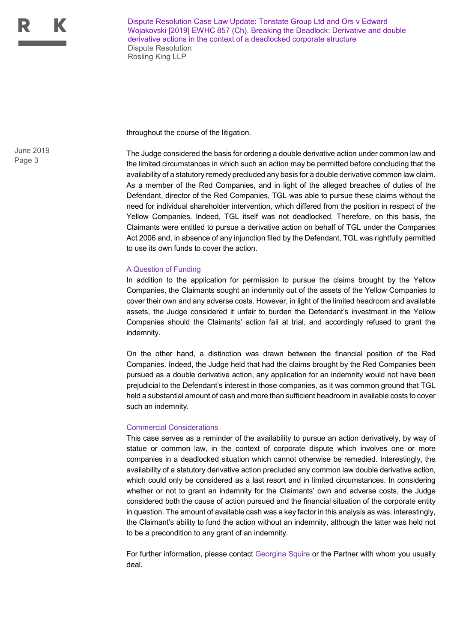Dispute Resolution Case Law Update: Tonstate Group Ltd and Ors v Edward Wojakovski [2019] EWHC 857 (Ch). Breaking the Deadlock: Derivative and double derivative actions in the context of a deadlocked corporate structure Dispute Resolution Rosling King LLP

throughout the course of the litigation.

The Judge considered the basis for ordering a double derivative action under common law and the limited circumstances in which such an action may be permitted before concluding that the availability of a statutory remedy precluded any basis for a double derivative common law claim. As a member of the Red Companies, and in light of the alleged breaches of duties of the Defendant, director of the Red Companies, TGL was able to pursue these claims without the need for individual shareholder intervention, which differed from the position in respect of the Yellow Companies. Indeed, TGL itself was not deadlocked. Therefore, on this basis, the Claimants were entitled to pursue a derivative action on behalf of TGL under the Companies Act 2006 and, in absence of any injunction filed by the Defendant, TGL was rightfully permitted to use its own funds to cover the action.

## A Question of Funding

In addition to the application for permission to pursue the claims brought by the Yellow Companies, the Claimants sought an indemnity out of the assets of the Yellow Companies to cover their own and any adverse costs. However, in light of the limited headroom and available assets, the Judge considered it unfair to burden the Defendant's investment in the Yellow Companies should the Claimants' action fail at trial, and accordingly refused to grant the indemnity.

On the other hand, a distinction was drawn between the financial position of the Red Companies. Indeed, the Judge held that had the claims brought by the Red Companies been pursued as a double derivative action, any application for an indemnity would not have been prejudicial to the Defendant's interest in those companies, as it was common ground that TGL held a substantial amount of cash and more than sufficient headroom in available costs to cover such an indemnity.

## Commercial Considerations

This case serves as a reminder of the availability to pursue an action derivatively, by way of statue or common law, in the context of corporate dispute which involves one or more companies in a deadlocked situation which cannot otherwise be remedied. Interestingly, the availability of a statutory derivative action precluded any common law double derivative action, which could only be considered as a last resort and in limited circumstances. In considering whether or not to grant an indemnity for the Claimants' own and adverse costs, the Judge considered both the cause of action pursued and the financial situation of the corporate entity in question. The amount of available cash was a key factor in this analysis as was, interestingly, the Claimant's ability to fund the action without an indemnity, although the latter was held not to be a precondition to any grant of an indemnity.

For further information, please contact Georgina Squire or the Partner with whom you usually deal.

Page 3 June 2019